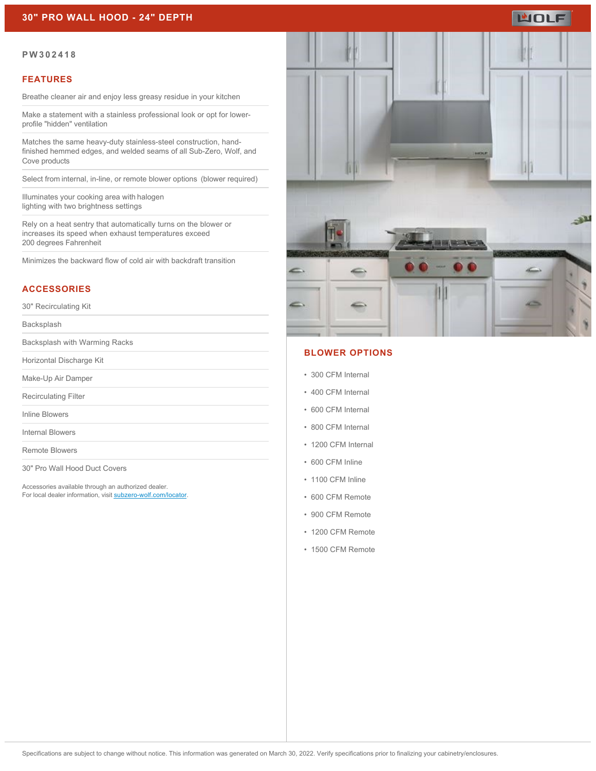### **30" PRO WALL HOOD - 24" DEPTH**

# WOLF

#### **PW302418**

#### **FEATURES**

Breathe cleaner air and enjoy less greasy residue in your kitchen

Make a statement with a stainless professional look or opt for lowerprofile "hidden" ventilation

Matches the same heavy-duty stainless-steel construction, handfinished hemmed edges, and welded seams of all Sub-Zero, Wolf, and Cove products

Select from internal, in-line, or remote blower options  (blower required)

Illuminates your cooking area with halogen lighting with two brightness settings

Rely on a heat sentry that automatically turns on the blower or increases its speed when exhaust temperatures exceed 200 degrees Fahrenheit

Minimizes the backward flow of cold air with backdraft transition

#### **ACCESSORIES**

30" Recirculating Kit

Backsplash

Backsplash with Warming Racks

Horizontal Discharge Kit

Make-Up Air Damper

Recirculating Filter

Inline Blowers

Internal Blowers

Remote Blowers

30" Pro Wall Hood Duct Covers

Accessories available through an authorized dealer. For local dealer information, visit [subzero-wolf.com/locator.](http://www.subzero-wolf.com/locator)



#### **BLOWER OPTIONS**

- 300 CFM Internal
- 400 CFM Internal
- 600 CFM Internal
- 800 CFM Internal
- 1200 CFM Internal
- 600 CFM Inline
- 1100 CFM Inline
- 600 CFM Remote
- 900 CFM Remote
- 1200 CFM Remote
- 1500 CFM Remote